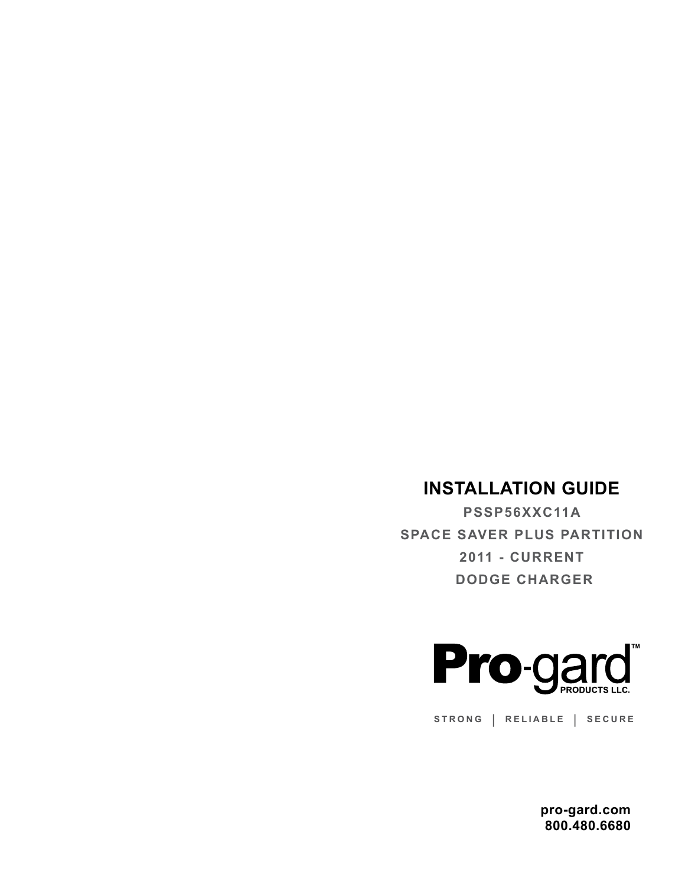## **INSTALLATION GUIDE**

**PSSP56XXC11A SPACE SAVER PLUS PARTITION 2011 - CURRENT DODGE CHARGER**



**STRONG | RELIABLE | SECURE**

**pro-gard.com 800.480.6680**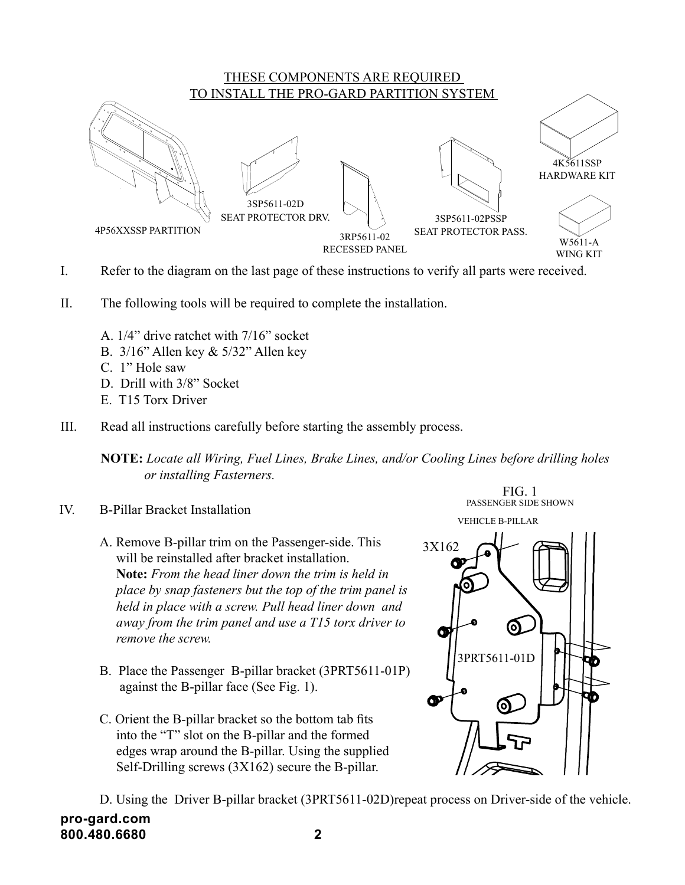

- I. Refer to the diagram on the last page of these instructions to verify all parts were received.
- II. The following tools will be required to complete the installation.
	- A. 1/4" drive ratchet with 7/16" socket
	- B. 3/16" Allen key & 5/32" Allen key
	- C. 1" Hole saw
	- D. Drill with 3/8" Socket
	- E. T15 Torx Driver
- III. Read all instructions carefully before starting the assembly process.

**NOTE:** *Locate all Wiring, Fuel Lines, Brake Lines, and/or Cooling Lines before drilling holes or installing Fasterners.* 

- IV. B-Pillar Bracket Installation
	- A. Remove B-pillar trim on the Passenger-side. This will be reinstalled after bracket installation. **Note:** *From the head liner down the trim is held in place by snap fasteners but the top of the trim panel is held in place with a screw. Pull head liner down and away from the trim panel and use a T15 torx driver to remove the screw.*
	- B. Place the Passenger B-pillar bracket (3PRT5611-01P) against the B-pillar face (See Fig. 1).
	- C. Orient the B-pillar bracket so the bottom tab fits into the "T" slot on the B-pillar and the formed edges wrap around the B-pillar. Using the supplied Self-Drilling screws (3X162) secure the B-pillar.



**pro-gard.com 800.480.6680 2** D. Using the Driver B-pillar bracket (3PRT5611-02D)repeat process on Driver-side of the vehicle.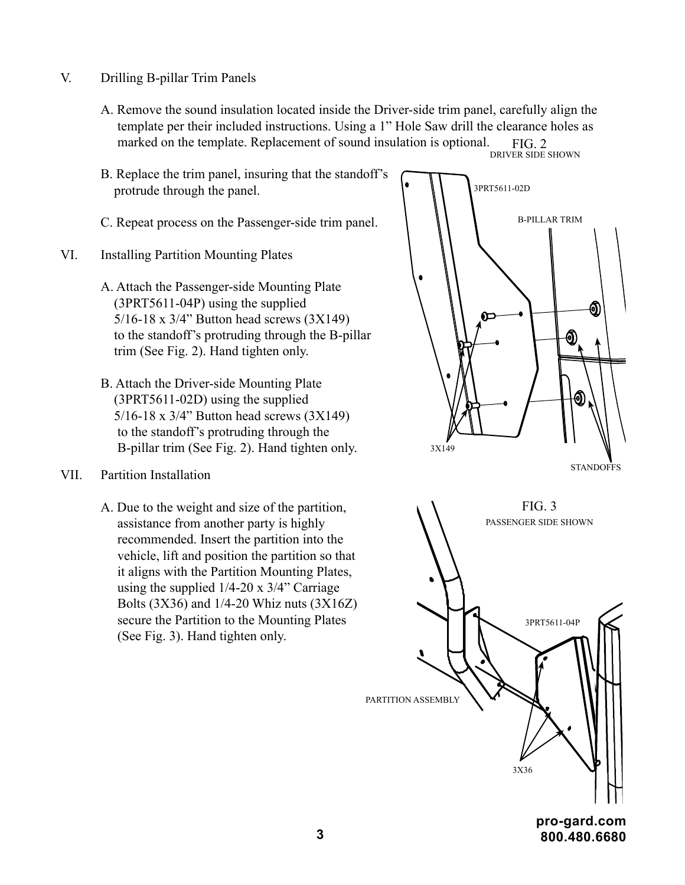- V. Drilling B-pillar Trim Panels
	- A. Remove the sound insulation located inside the Driver-side trim panel, carefully align the template per their included instructions. Using a 1" Hole Saw drill the clearance holes as marked on the template. Replacement of sound insulation is optional. DRIVER SIDE SHOWN FIG. 2
	- B. Replace the trim panel, insuring that the standoff's protrude through the panel.
	- C. Repeat process on the Passenger-side trim panel.
- VI. Installing Partition Mounting Plates
	- A. Attach the Passenger-side Mounting Plate (3PRT5611-04P) using the supplied 5/16-18 x 3/4" Button head screws (3X149) to the standoff's protruding through the B-pillar trim (See Fig. 2). Hand tighten only.
	- B. Attach the Driver-side Mounting Plate (3PRT5611-02D) using the supplied 5/16-18 x 3/4" Button head screws (3X149) to the standoff's protruding through the B-pillar trim (See Fig. 2). Hand tighten only.
- VII. Partition Installation
	- A. Due to the weight and size of the partition, assistance from another party is highly recommended. Insert the partition into the vehicle, lift and position the partition so that it aligns with the Partition Mounting Plates, using the supplied 1/4-20 x 3/4" Carriage Bolts (3X36) and 1/4-20 Whiz nuts (3X16Z) secure the Partition to the Mounting Plates (See Fig. 3). Hand tighten only.



**STANDOFFS** 



**3 800.480.6680**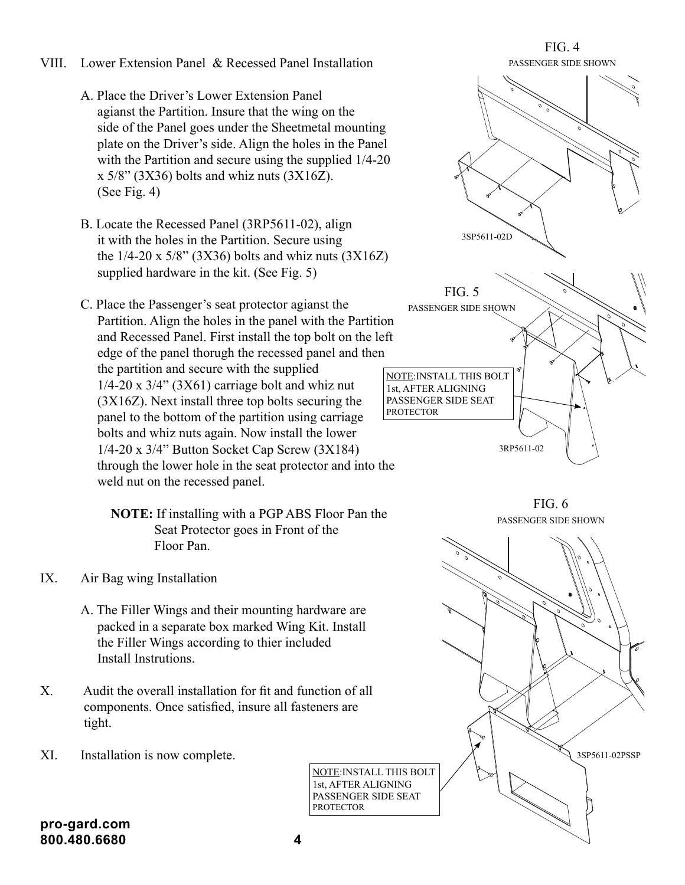- VIII. Lower Extension Panel & Recessed Panel Installation
	- A. Place the Driver's Lower Extension Panel agianst the Partition. Insure that the wing on the side of the Panel goes under the Sheetmetal mounting plate on the Driver's side. Align the holes in the Panel with the Partition and secure using the supplied 1/4-20  $x$  5/8" (3X36) bolts and whiz nuts (3X16Z). (See Fig. 4)
	- B. Locate the Recessed Panel (3RP5611-02), align it with the holes in the Partition. Secure using the  $1/4$ -20 x 5/8" (3X36) bolts and whiz nuts (3X16Z) supplied hardware in the kit. (See Fig. 5)
	- C. Place the Passenger's seat protector agianst the Partition. Align the holes in the panel with the Partition and Recessed Panel. First install the top bolt on the left edge of the panel thorugh the recessed panel and then the partition and secure with the supplied  $1/4$ -20 x  $3/4$ " (3X61) carriage bolt and whiz nut (3X16Z). Next install three top bolts securing the panel to the bottom of the partition using carriage bolts and whiz nuts again. Now install the lower 1/4-20 x 3/4" Button Socket Cap Screw (3X184) through the lower hole in the seat protector and into the weld nut on the recessed panel.

 **NOTE:** If installing with a PGP ABS Floor Pan the Seat Protector goes in Front of the Floor Pan.

- IX. Air Bag wing Installation
	- A. The Filler Wings and their mounting hardware are packed in a separate box marked Wing Kit. Install the Filler Wings according to thier included Install Instrutions.
- X. Audit the overall installation for fit and function of all components. Once satisfied, insure all fasteners are tight.
- XI. Installation is now complete.



PASSENGER SIDE SHOWN FIG. 6



1st, AFTER ALIGNING

PROTECTOR